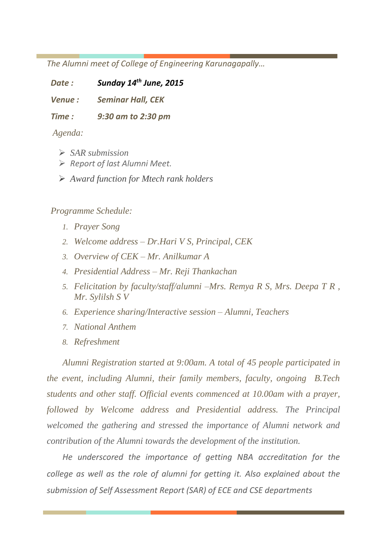*The Alumni meet of College of Engineering Karunagapally…* 

*Date : Sunday 14 th June, 2015*

*Venue : Seminar Hall, CEK* 

*Time : 9:30 am to 2:30 pm*

*Agenda:*

- ➢ *SAR submission*
- ➢ *Report of last Alumni Meet.*
- ➢ *Award function for Mtech rank holders*

## *Programme Schedule:*

- *1. Prayer Song*
- *2. Welcome address – Dr.Hari V S, Principal, CEK*
- *3. Overview of CEK – Mr. Anilkumar A*
- *4. Presidential Address – Mr. Reji Thankachan*
- *5. Felicitation by faculty/staff/alumni –Mrs. Remya R S, Mrs. Deepa T R , Mr. Sylilsh S V*
- *6. Experience sharing/Interactive session – Alumni, Teachers*
- *7. National Anthem*
- *8. Refreshment*

*Alumni Registration started at 9:00am. A total of 45 people participated in the event, including Alumni, their family members, faculty, ongoing B.Tech students and other staff. Official events commenced at 10.00am with a prayer, followed by Welcome address and Presidential address. The Principal welcomed the gathering and stressed the importance of Alumni network and contribution of the Alumni towards the development of the institution.* 

*He underscored the importance of getting NBA accreditation for the college as well as the role of alumni for getting it. Also explained about the submission of Self Assessment Report (SAR) of ECE and CSE departments*